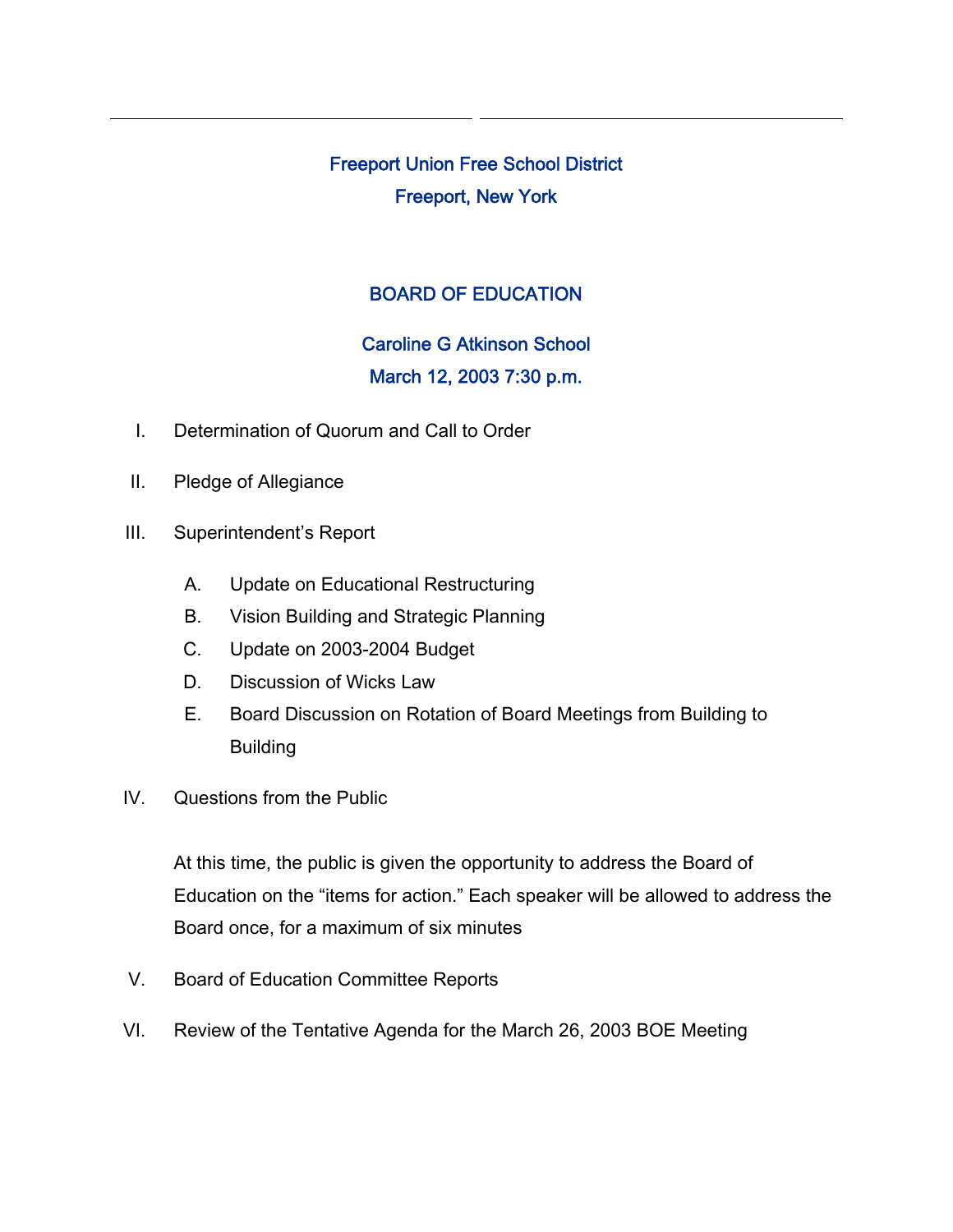Freeport Union Free School District Freeport, New York

## BOARD OF EDUCATION

## Caroline G Atkinson School March 12, 2003 7:30 p.m.

- I. Determination of Quorum and Call to Order
- II. Pledge of Allegiance
- III. Superintendent's Report
	- A. Update on Educational Restructuring
	- B. Vision Building and Strategic Planning
	- C. Update on 2003-2004 Budget
	- D. Discussion of Wicks Law
	- E. Board Discussion on Rotation of Board Meetings from Building to Building
- IV. Questions from the Public

At this time, the public is given the opportunity to address the Board of Education on the "items for action." Each speaker will be allowed to address the Board once, for a maximum of six minutes

- V. Board of Education Committee Reports
- VI. Review of the Tentative Agenda for the March 26, 2003 BOE Meeting